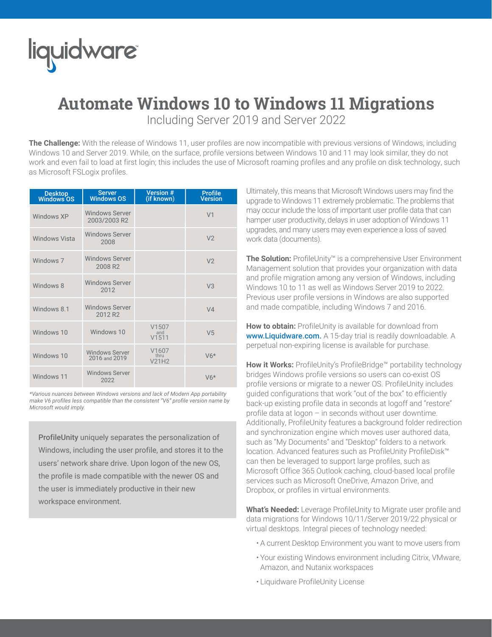## liquidware

## **Automate Windows 10 to Windows 11 Migrations**

Including Server 2019 and Server 2022

**The Challenge:** With the release of Windows 11, user profiles are now incompatible with previous versions of Windows, including Windows 10 and Server 2019. While, on the surface, profile versions between Windows 10 and 11 may look similar, they do not work and even fail to load at first login; this includes the use of Microsoft roaming profiles and any profile on disk technology, such as Microsoft FSLogix profiles.

| Desktop<br>Windows OS | <b>Server</b><br><b>Windows OS</b>           | <b>Version #</b><br>(if known) | <b>Profile</b><br><b>Version</b> |
|-----------------------|----------------------------------------------|--------------------------------|----------------------------------|
| Windows XP            | <b>Windows Server</b><br>2003/2003 R2        |                                | V <sub>1</sub>                   |
| <b>Windows Vista</b>  | <b>Windows Server</b><br>2008                |                                | V <sub>2</sub>                   |
| Windows 7             | <b>Windows Server</b><br>2008 R <sub>2</sub> |                                | V <sub>2</sub>                   |
| Windows 8             | <b>Windows Server</b><br>2012                |                                | V <sub>3</sub>                   |
| Windows 8.1           | <b>Windows Server</b><br>2012 R2             |                                | V <sub>4</sub>                   |
| Windows 10            | Windows 10                                   | V1507<br>and<br>V1511          | V <sub>5</sub>                   |
| Windows 10            | <b>Windows Server</b><br>2016 and 2019       | V1607<br>thru<br>V21H2         | $V6*$                            |
| Windows 11            | <b>Windows Server</b><br>2022                |                                | $V6*$                            |

*\*Various nuances between Windows versions and lack of Modern App portability make V6 profiles less compatible than the consistent "V6" profile version name by Microsoft would imply.*

ProfileUnity uniquely separates the personalization of Windows, including the user profile, and stores it to the users' network share drive. Upon logon of the new OS, the profile is made compatible with the newer OS and the user is immediately productive in their new workspace environment.

Ultimately, this means that Microsoft Windows users may find the upgrade to Windows 11 extremely problematic. The problems that may occur include the loss of important user profile data that can hamper user productivity, delays in user adoption of Windows 11 upgrades, and many users may even experience a loss of saved work data (documents).

**The Solution:** ProfileUnity™ is a comprehensive User Environment Management solution that provides your organization with data and profile migration among any version of Windows, including Windows 10 to 11 as well as Windows Server 2019 to 2022. Previous user profile versions in Windows are also supported and made compatible, including Windows 7 and 2016.

**How to obtain:** ProfileUnity is available for download from www. Liquidware.com. A 15-day trial is readily downloadable. A perpetual non-expiring license is available for purchase.

**How it Works:** ProfileUnity's ProfileBridge™ portability technology bridges Windows profile versions so users can co-exist OS profile versions or migrate to a newer OS. ProfileUnity includes guided configurations that work "out of the box" to efficiently back-up existing profile data in seconds at logoff and "restore" profile data at logon – in seconds without user downtime. Additionally, ProfileUnity features a background folder redirection and synchronization engine which moves user authored data, such as "My Documents" and "Desktop" folders to a network location. Advanced features such as ProfileUnity ProfileDisk™ can then be leveraged to support large profiles, such as Microsoft Office 365 Outlook caching, cloud-based local profile services such as Microsoft OneDrive, Amazon Drive, and Dropbox, or profiles in virtual environments.

**What's Needed:** Leverage ProfileUnity to Migrate user profile and data migrations for Windows 10/11/Server 2019/22 physical or virtual desktops. Integral pieces of technology needed:

- A current Desktop Environment you want to move users from
- Your existing Windows environment including Citrix, VMware, Amazon, and Nutanix workspaces
- Liquidware ProfileUnity License